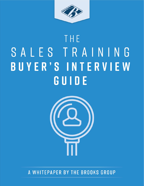

# THE SALES TRAINING BUYER'S INTERVIEW GUIDE



# A WHITEPAPER BY THE BROOKS GROUP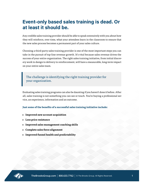# **Event-only based sales training is dead. Or at least it should be.**

Any credible sales training provider should be able to speak extensively with you about how they will reinforce, over time, what your attendees learn in the classroom to ensure that the new sales process becomes a permanent part of your sales culture.

Choosing a third-party sales training provider is one of the most important steps you can take in the pursuit of top-line revenue growth. It's vital because sales revenue drives the success of your entire organization. The right sales training initiative, from initial discovery work to design to delivery to reinforcement, will have a measurable, long-term impact on your entire sales team.

The challenge is identifying the right training provider for your organization.

Evaluating sales training programs can also be daunting if you haven't done it before. After all, sales training is not something you can see or touch. You're buying a professional service, an experience, information and an outcome.

**Just some of the benefits of a successful sales training initiative include:**

- **• Improved new account acquisition**
- **• Less price resistance**
- **• Improved sales management coaching skills**
- **• Complete sales force alignment**
- **• Improved funnel health and predictability**

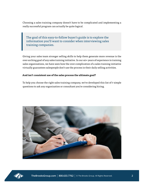Choosing a sales training company doesn't have to be complicated and implementing a really successful program can actually be quite logical.

The goal of this easy-to-follow buyer's guide is to explore the information you'll want to consider when interviewing sales training companies.

Giving your sales team stronger selling skills to help them generate more revenue is the over-arching goal of any sales training initiative. In our 40+ years of experience in training sales organizations, we have seen how the over-complication of a sales training initiative virtually guarantees salespeople don't use the process in their daily selling activities.

#### **And isn't consistent use of the sales process the ultimate goal?**

To help you choose the right sales training company, we've developed this list of 7 simple questions to ask any organization or consultant you're considering hiring.



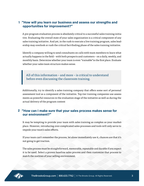### **"How will you learn our business and assess our strengths and 1 opportunities for improvement?"**

A pre-program evaluation process is absolutely critical to a successful sales training initiative. Evaluating the overall state of your sales organization is a critical component of any sales training initiative. And yet, in the rush to execute a live training program, sales leadership may overlook or rush the critical fact-finding phase of the sales training initiative.

Identify a company willing to send consultants on calls with team members to learn what actually happens in the field – with both prospects and customers – on a daily, weekly, and monthly basis. Determine whether your team is even "trainable"in the first place. Evaluate whether your sales team structure makes sense.

All of this information – and more – is critical to understand before even discussing the classroom training.

Additionally, try to identify a sales training company that offers some sort of personal assessment tool as a component of the initiative. Top-tier training companies use assessments as powerful resources in the evaluation stage of the initiative as well as during the actual delivery of the program content

#### **"How can I make sure that your sales process makes sense for 2our environment?"**

It may be tempting to provide your team with sales training as complex as your marketplace. However, introducing over-complicated sales processes and tools will only serve to impede your team's sales efforts.

If your team can't remember the process, let alone immediately use it, chances are that it's not going to get traction.

The sales process must be straightforward, memorable, repeatable and durable if you expect it to be used. Select a proven baseline sales process and then customize that process to match the realities of your selling environment.

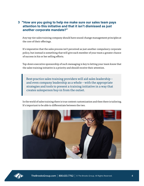#### **"How are you going to help me make sure our sales team pays 3attention to this initiative and that it isn't dismissed as just another corporate mandate?"**

Any top-tier sales training company should have sound change management principles at the core of their offerings.

It's imperative that the sales process isn't perceived as just another compulsory corporate policy, but instead is something that will give each member of your team a greater chance of success in his or her selling efforts.

Top-down executive sponsorship of such messaging is key to letting your team know that the sales training initiative is a priority and should receive their attention.

Best-practice sales training providers will aid sales leadership – and even company leadership as a whole – with the appropriate strategies and tools to present a training initiative in a way that creates salesperson buy-in from the outset.

In the world of sales training there is true content customization and then there is tailoring. It's important to be able to differentiate between the two.



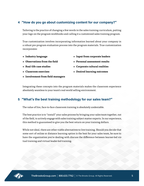## **"How do you go about customizing content for our company?" 4**

Tailoring is the practice of changing a few words in the sales training curriculum, putting your logo on the program workbooks and calling it a customized sales training program.

True customization involves incorporating information learned about your company in a robust pre-program evaluation process into the program materials. True customization incorporates:

- **• Industry language**
- **• Observations from the field**
- **• Real-life case studies**
- **• Classroom exercises**
- **• Involvement from field managers**
- **• Input from corporate leaders**
- **• Personal assessment results**
- **• Corporate cultural realities**
- **• Desired learning outcomes**

Integrating these concepts into the program materials makes the classroom experience absolutely seamless to your team's real-world selling environment.

## **"What's the best training methodology for our sales team?" 5**

The value of live, face-to-face classroom training is absolutely undeniable.

The best practice is to "install" your sales process by bringing your sales team together, out of the field, to actively engage with sales training subject matter experts. In our experience, this method is guaranteed to give you the best return on your training dollars.

While not ideal, there are other viable alternatives to live training. Should you decide that some sort of online or distance learning option is the best for your sales team, be sure to have the organization you're dealing with discuss the difference between learner-led virtual training and virtual leader-led training.

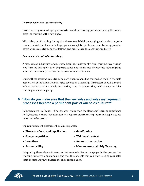#### **Learner-led virtual sales training:**

Involves giving your salespeople access to an online learning portal and having them complete the training at their own pace.

With this type of training, it's key that the content is highly engaging and motivating, otherwise you risk the chance of salespeople not completing it. Be sure your training provider offers online sales training that follows best practices in the eLearning industry.

#### **Leader-led virtual sales training:**

A more robust substitute for classroom training, this type of virtual training involves passive learning and application by participants, but should also incorporate regular group access to the trainer/coach via the Internet or teleconference.

During these sessions, sales training participants should be coached on their in-the-field application of the skills and strategies covered in e-learning. Instructors should also provide real-time coaching to help ensure they have the support they need to keep the sales training momentum going.

#### **"How do you make sure that the new sales and sales management 6 processes become a permanent part of our sales culture?"**

Reinforcement is of equal – if not greater – value than the classroom learning experience itself, because it's here that attendees will begin to own the sales process and apply it to see increased sales results.

Top reinforcement platforms should incorporate:

- **• Elements of real-world application**
- **• Group competition**
- **• Incentives**

**• Web-based content**

**• Gamification**

**• Access to live coaches**

**• Accountability**

**• Measurement and "drip" learning**

Integrating these elements ensures that your sales team is engaged in the process, the training initiative is sustainable, and that the concepts that you want used by your sales team become ingrained across the sales organization.

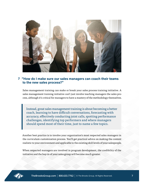

#### **"How do I make sure our sales managers can coach their teams 7to the new sales process?"**

Sales management training can make or break your sales process training initiative. A sales management training initiative can't just involve teaching managers the sales process, although it's critical for managers to have a mastery of the methodology themselves.

Instead, great sales management training is about becoming a better coach, learning to have difficult conversations, forecasting with accuracy, effectively conducting joint calls, spotting performance challenges, identifying top performers and where managers should spend most of their time, just to name a few topics.

Another best practice is to involve your organization's most respected sales managers in the curriculum customization process. You'll get practical advice on making the content realistic to your environment and applicable to the existing skill levels of your salespeople.

When respected managers are involved in program development, the credibility of the initiative and the buy-in of your sales group will become much greater.

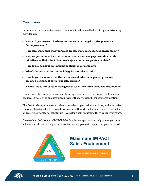## **Conclusion**

In summary, the bottom-line questions you want to ask yourself when hiring a sales training provider are:

- **• How will you learn our business and assess our strengths and opportunities for improvement?**
- **• How can I make sure that your sales process makes sense for our environment?**
- **• How are you going to help me make sure our sales team pays attention to this initiative and that it isn't dismissed as just another corporate mandate?**
- **• How do you go about customizing content for our company?**
- **• What's the best training methodology for our sales team?**
- **• How do you make sure that the new sales and sales management processes become a permanent part of our sales culture?**
- **• How do I make sure our sales managers can coach their teams to the new sales process?**

If you're investing resources in a sales training initiative, give the project the best chance of success by selecting an outsourced provider that's the right fit for your organization.

The Brooks Group understands that your sales organization is unique, and your sales enablement strategy should be as well. We partner with you to underst and where you are today – and where you want to be in the future –to develop a path to sustained high sales performance.

Discover how the Maximum IMPACT Sales Enablement approach can help your organization achieve your short and long-term sales effectiveness goals with a plan that grows as you do.



# **Maximum IMPACT Sales Enablement**

**[DISCOVER THE POWER OF MISE](https://brooksgroup.com/maximum-impact-sales-enablement)**

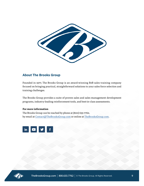

#### **About The Brooks Group**

Founded in 1977, The Brooks Group is an award-winning B2B sales training company focused on bringing practical, straightforward solutions to your sales force selection and training challenges.

The Brooks Group provides a suite of proven sales and sales management development programs, industry-leading reinforcement tools, and best-in-class assessments.

#### **For more information**

The Brooks Group can be reached by phone at (800) 633-7762, by email at Contact@TheBrooksGroup.com or online at TheBrooksGroup.com.